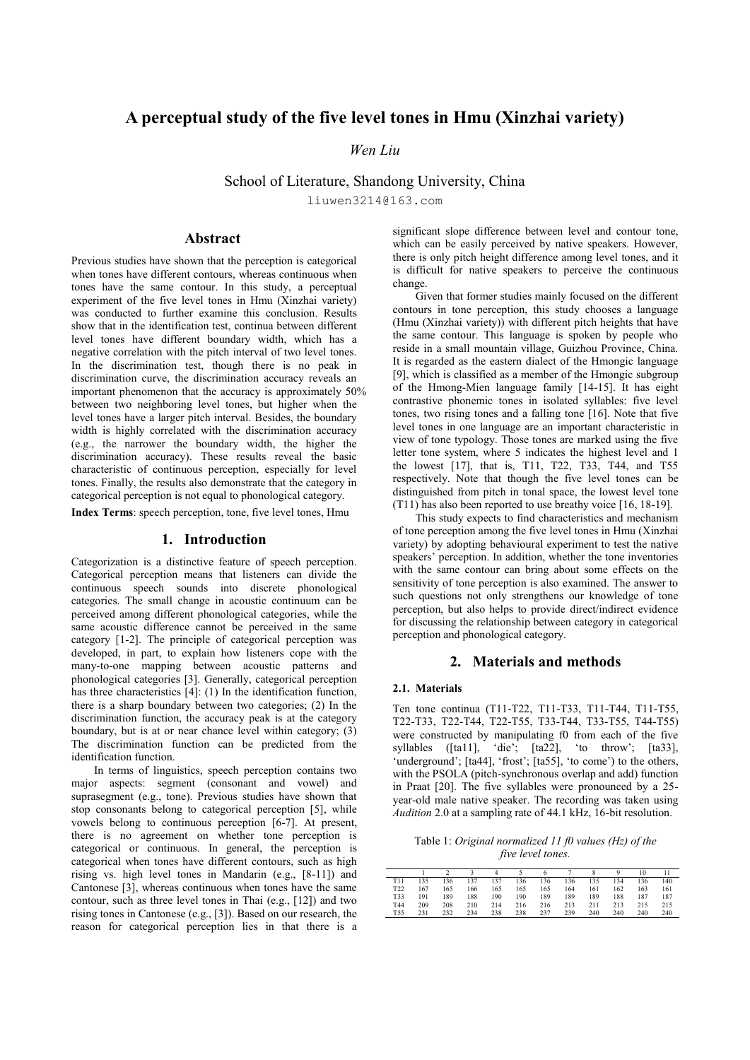# **A perceptual study of the five level tones in Hmu (Xinzhai variety)**

## *Wen Liu*

School of Literature, Shandong University, China

liuwen3214@163.com

# **Abstract**

Previous studies have shown that the perception is categorical when tones have different contours, whereas continuous when tones have the same contour. In this study, a perceptual experiment of the five level tones in Hmu (Xinzhai variety) was conducted to further examine this conclusion. Results show that in the identification test, continua between different level tones have different boundary width, which has a negative correlation with the pitch interval of two level tones. In the discrimination test, though there is no peak in discrimination curve, the discrimination accuracy reveals an important phenomenon that the accuracy is approximately 50% between two neighboring level tones, but higher when the level tones have a larger pitch interval. Besides, the boundary width is highly correlated with the discrimination accuracy (e.g., the narrower the boundary width, the higher the discrimination accuracy). These results reveal the basic characteristic of continuous perception, especially for level tones. Finally, the results also demonstrate that the category in categorical perception is not equal to phonological category.

**Index Terms**: speech perception, tone, five level tones, Hmu

### **1. Introduction**

Categorization is a distinctive feature of speech perception. Categorical perception means that listeners can divide the continuous speech sounds into discrete phonological categories. The small change in acoustic continuum can be perceived among different phonological categories, while the same acoustic difference cannot be perceived in the same category [1-2]. The principle of categorical perception was developed, in part, to explain how listeners cope with the many-to-one mapping between acoustic patterns and phonological categories [3]. Generally, categorical perception has three characteristics [4]: (1) In the identification function, there is a sharp boundary between two categories; (2) In the discrimination function, the accuracy peak is at the category boundary, but is at or near chance level within category; (3) The discrimination function can be predicted from the identification function.

In terms of linguistics, speech perception contains two major aspects: segment (consonant and vowel) and suprasegment (e.g., tone). Previous studies have shown that stop consonants belong to categorical perception [5], while vowels belong to continuous perception [6-7]. At present, there is no agreement on whether tone perception is categorical or continuous. In general, the perception is categorical when tones have different contours, such as high rising vs. high level tones in Mandarin (e.g., [8-11]) and Cantonese [3], whereas continuous when tones have the same contour, such as three level tones in Thai (e.g., [12]) and two rising tones in Cantonese (e.g., [3]). Based on our research, the reason for categorical perception lies in that there is a significant slope difference between level and contour tone, which can be easily perceived by native speakers. However, there is only pitch height difference among level tones, and it is difficult for native speakers to perceive the continuous change.

Given that former studies mainly focused on the different contours in tone perception, this study chooses a language (Hmu (Xinzhai variety)) with different pitch heights that have the same contour. This language is spoken by people who reside in a small mountain village, Guizhou Province, China. It is regarded as the eastern dialect of the Hmongic language [9], which is classified as a member of the Hmongic subgroup of the Hmong-Mien language family [14-15]. It has eight contrastive phonemic tones in isolated syllables: five level tones, two rising tones and a falling tone [16]. Note that five level tones in one language are an important characteristic in view of tone typology. Those tones are marked using the five letter tone system, where 5 indicates the highest level and 1 the lowest [17], that is, T11, T22, T33, T44, and T55 respectively. Note that though the five level tones can be distinguished from pitch in tonal space, the lowest level tone (T11) has also been reported to use breathy voice [16, 18-19].

This study expects to find characteristics and mechanism of tone perception among the five level tones in Hmu (Xinzhai variety) by adopting behavioural experiment to test the native speakers' perception. In addition, whether the tone inventories with the same contour can bring about some effects on the sensitivity of tone perception is also examined. The answer to such questions not only strengthens our knowledge of tone perception, but also helps to provide direct/indirect evidence for discussing the relationship between category in categorical perception and phonological category.

### **2. Materials and methods**

#### **2.1. Materials**

Ten tone continua (T11-T22, T11-T33, T11-T44, T11-T55, T22-T33, T22-T44, T22-T55, T33-T44, T33-T55, T44-T55) were constructed by manipulating f0 from each of the five syllables ( $[ta11]$ , 'die';  $[ta22]$ , 'to throw';  $[ta33]$ , 'underground'; [ta44], 'frost'; [ta55], 'to come') to the others, with the PSOLA (pitch-synchronous overlap and add) function in Praat [20]. The five syllables were pronounced by a 25 year-old male native speaker. The recording was taken using *Audition* 2.0 at a sampling rate of 44.1 kHz, 16-bit resolution.

Table 1: *Original normalized 11 f0 values (Hz) of the five level tones.*

|                 |     |     |     |     |     |     |     |     |     | 10  |     |
|-----------------|-----|-----|-----|-----|-----|-----|-----|-----|-----|-----|-----|
| T11             | 135 | 136 | 137 | 137 | 136 | 136 | 136 | 135 | 134 | 136 | 140 |
| T <sub>22</sub> | 167 | 165 | 166 | 165 | 165 | 165 | 164 | 161 | 162 | 163 | 161 |
| T33             | 191 | 189 | 188 | 190 | 190 | 189 | 189 | 189 | 188 | 187 | 187 |
| T44             | 209 | 208 | 210 | 214 | 216 | 216 | 213 | 211 | 213 | 215 | 215 |
| T <sub>55</sub> | 231 | 232 | 234 | 238 | 238 | 237 | 239 | 240 | 240 | 240 | 240 |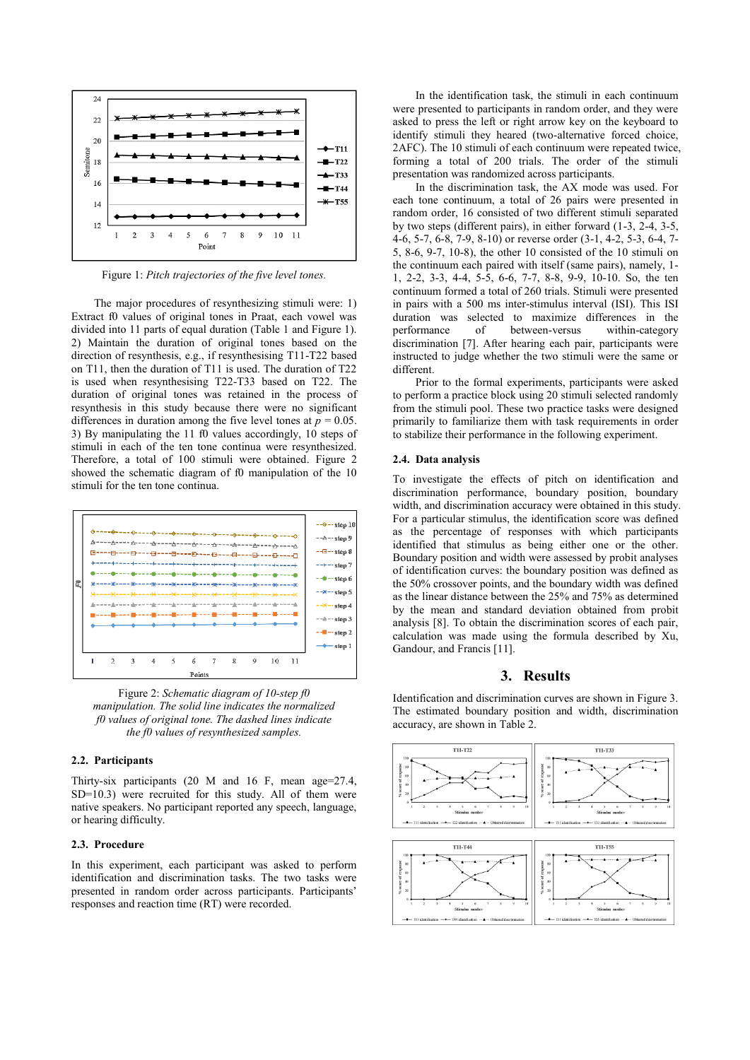

Figure 1: *Pitch trajectories of the five level tones.*

The major procedures of resynthesizing stimuli were: 1) Extract f0 values of original tones in Praat, each vowel was divided into 11 parts of equal duration (Table 1 and Figure 1). 2) Maintain the duration of original tones based on the direction of resynthesis, e.g., if resynthesising T11-T22 based on T11, then the duration of T11 is used. The duration of T22 is used when resynthesising T22-T33 based on T22. The duration of original tones was retained in the process of resynthesis in this study because there were no significant differences in duration among the five level tones at  $p = 0.05$ . 3) By manipulating the 11 f0 values accordingly, 10 steps of stimuli in each of the ten tone continua were resynthesized. Therefore, a total of 100 stimuli were obtained. Figure 2 showed the schematic diagram of f0 manipulation of the 10 stimuli for the ten tone continua.



Figure 2: *Schematic diagram of 10-step f0 manipulation. The solid line indicates the normalized f0 values of original tone. The dashed lines indicate the f0 values of resynthesized samples.*

#### **2.2. Participants**

Thirty-six participants (20 M and 16 F, mean age=27.4, SD=10.3) were recruited for this study. All of them were native speakers. No participant reported any speech, language, or hearing difficulty.

#### **2.3. Procedure**

In this experiment, each participant was asked to perform identification and discrimination tasks. The two tasks were presented in random order across participants. Participants' responses and reaction time (RT) were recorded.

In the identification task, the stimuli in each continuum were presented to participants in random order, and they were asked to press the left or right arrow key on the keyboard to identify stimuli they heared (two-alternative forced choice, 2AFC). The 10 stimuli of each continuum were repeated twice, forming a total of 200 trials. The order of the stimuli presentation was randomized across participants.

In the discrimination task, the AX mode was used. For each tone continuum, a total of 26 pairs were presented in random order, 16 consisted of two different stimuli separated by two steps (different pairs), in either forward (1-3, 2-4, 3-5, 4-6, 5-7, 6-8, 7-9, 8-10) or reverse order (3-1, 4-2, 5-3, 6-4, 7- 5, 8-6, 9-7, 10-8), the other 10 consisted of the 10 stimuli on the continuum each paired with itself (same pairs), namely, 1- 1, 2-2, 3-3, 4-4, 5-5, 6-6, 7-7, 8-8, 9-9, 10-10. So, the ten continuum formed a total of 260 trials. Stimuli were presented in pairs with a 500 ms inter-stimulus interval (ISI). This ISI duration was selected to maximize differences in the performance of between-versus within-category of between-versus within-category discrimination [7]. After hearing each pair, participants were instructed to judge whether the two stimuli were the same or different.

Prior to the formal experiments, participants were asked to perform a practice block using 20 stimuli selected randomly from the stimuli pool. These two practice tasks were designed primarily to familiarize them with task requirements in order to stabilize their performance in the following experiment.

#### **2.4. Data analysis**

To investigate the effects of pitch on identification and discrimination performance, boundary position, boundary width, and discrimination accuracy were obtained in this study. For a particular stimulus, the identification score was defined as the percentage of responses with which participants identified that stimulus as being either one or the other. Boundary position and width were assessed by probit analyses of identification curves: the boundary position was defined as the 50% crossover points, and the boundary width was defined as the linear distance between the 25% and 75% as determined by the mean and standard deviation obtained from probit analysis [8]. To obtain the discrimination scores of each pair, calculation was made using the formula described by Xu, Gandour, and Francis [11].

### **3. Results**

Identification and discrimination curves are shown in Figure 3. The estimated boundary position and width, discrimination accuracy, are shown in Table 2.

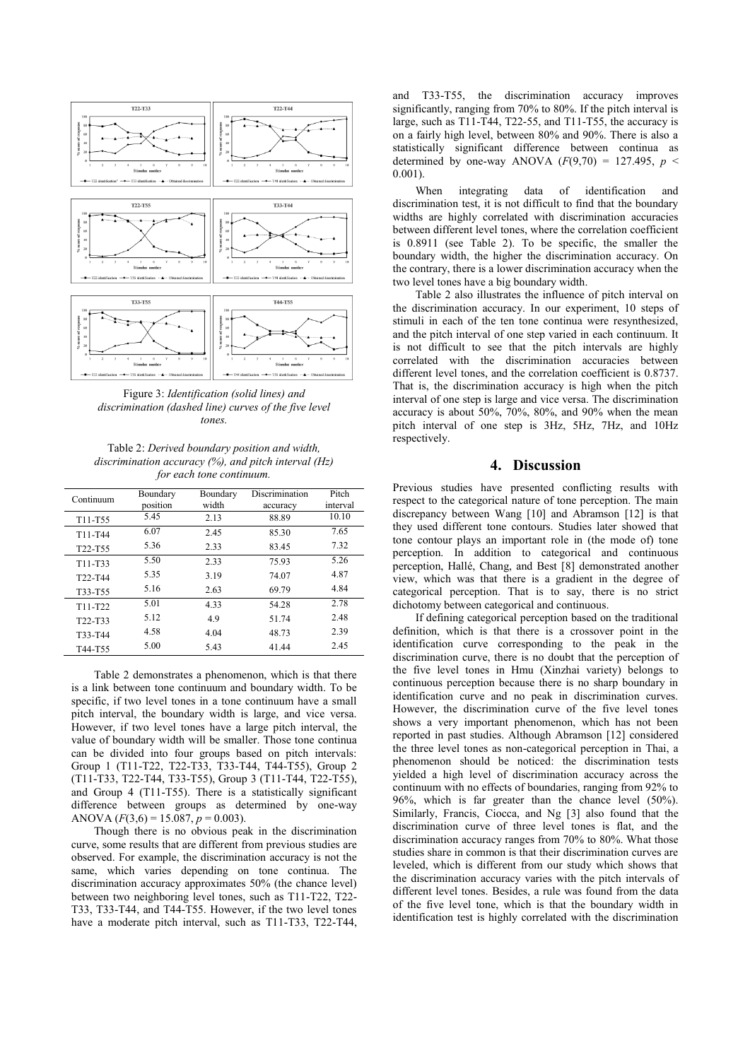

Figure 3: *Identification (solid lines) and discrimination (dashed line) curves of the five level tones.*

Table 2: *Derived boundary position and width, discrimination accuracy (%), and pitch interval (Hz) for each tone continuum.*

| Continuum                        | Boundary<br>position | Boundary<br>width | Discrimination<br>accuracy | Pitch<br>interval |  |
|----------------------------------|----------------------|-------------------|----------------------------|-------------------|--|
| T11-T55                          | 5.45                 | 2.13              | 88.89                      | 10.10             |  |
| T11-T44                          | 6.07                 | 2.45              | 85.30                      | 7.65              |  |
| T <sub>22</sub> -T <sub>55</sub> | 5.36                 | 2.33              | 83.45                      | 7.32              |  |
| $T11-T33$                        | 5.50                 | 2.33              | 75.93                      | 5.26              |  |
| T <sub>22</sub> -T <sub>44</sub> | 5.35                 | 3.19              | 74.07                      | 4.87              |  |
| T33-T55                          | 5.16                 | 2.63              | 69.79                      | 4.84              |  |
| T11-T22                          | 5.01                 | 4.33              | 54.28                      | 2.78              |  |
| T22-T33                          | 5.12                 | 4.9               | 51.74                      | 2.48              |  |
| T33-T44                          | 4.58                 | 4.04              | 48.73                      | 2.39              |  |
| T44-T55                          | 5.00                 | 5.43              | 41.44                      | 2.45              |  |

Table 2 demonstrates a phenomenon, which is that there is a link between tone continuum and boundary width. To be specific, if two level tones in a tone continuum have a small pitch interval, the boundary width is large, and vice versa. However, if two level tones have a large pitch interval, the value of boundary width will be smaller. Those tone continua can be divided into four groups based on pitch intervals: Group 1 (T11-T22, T22-T33, T33-T44, T44-T55), Group 2 (T11-T33, T22-T44, T33-T55), Group 3 (T11-T44, T22-T55), and Group 4 (T11-T55). There is a statistically significant difference between groups as determined by one-way ANOVA  $(F(3,6) = 15.087, p = 0.003)$ .

Though there is no obvious peak in the discrimination curve, some results that are different from previous studies are observed. For example, the discrimination accuracy is not the same, which varies depending on tone continua. The discrimination accuracy approximates 50% (the chance level) between two neighboring level tones, such as T11-T22, T22- T33, T33-T44, and T44-T55. However, if the two level tones have a moderate pitch interval, such as T11-T33, T22-T44,

and T33-T55, the discrimination accuracy improves significantly, ranging from 70% to 80%. If the pitch interval is large, such as T11-T44, T22-55, and T11-T55, the accuracy is on a fairly high level, between 80% and 90%. There is also a statistically significant difference between continua as determined by one-way ANOVA  $(F(9,70) = 127.495, p <$ 0.001).

When integrating data of identification and discrimination test, it is not difficult to find that the boundary widths are highly correlated with discrimination accuracies between different level tones, where the correlation coefficient is 0.8911 (see Table 2). To be specific, the smaller the boundary width, the higher the discrimination accuracy. On the contrary, there is a lower discrimination accuracy when the two level tones have a big boundary width.

Table 2 also illustrates the influence of pitch interval on the discrimination accuracy. In our experiment, 10 steps of stimuli in each of the ten tone continua were resynthesized, and the pitch interval of one step varied in each continuum. It is not difficult to see that the pitch intervals are highly correlated with the discrimination accuracies between different level tones, and the correlation coefficient is 0.8737. That is, the discrimination accuracy is high when the pitch interval of one step is large and vice versa. The discrimination accuracy is about 50%, 70%, 80%, and 90% when the mean pitch interval of one step is 3Hz, 5Hz, 7Hz, and 10Hz respectively.

## **4. Discussion**

Previous studies have presented conflicting results with respect to the categorical nature of tone perception. The main discrepancy between Wang [10] and Abramson [12] is that they used different tone contours. Studies later showed that tone contour plays an important role in (the mode of) tone perception. In addition to categorical and continuous perception, Hallé, Chang, and Best [8] demonstrated another view, which was that there is a gradient in the degree of categorical perception. That is to say, there is no strict dichotomy between categorical and continuous.

If defining categorical perception based on the traditional definition, which is that there is a crossover point in the identification curve corresponding to the peak in the discrimination curve, there is no doubt that the perception of the five level tones in Hmu (Xinzhai variety) belongs to continuous perception because there is no sharp boundary in identification curve and no peak in discrimination curves. However, the discrimination curve of the five level tones shows a very important phenomenon, which has not been reported in past studies. Although Abramson [12] considered the three level tones as non-categorical perception in Thai, a phenomenon should be noticed: the discrimination tests yielded a high level of discrimination accuracy across the continuum with no effects of boundaries, ranging from 92% to 96%, which is far greater than the chance level (50%). Similarly, Francis, Ciocca, and Ng [3] also found that the discrimination curve of three level tones is flat, and the discrimination accuracy ranges from 70% to 80%. What those studies share in common is that their discrimination curves are leveled, which is different from our study which shows that the discrimination accuracy varies with the pitch intervals of different level tones. Besides, a rule was found from the data of the five level tone, which is that the boundary width in identification test is highly correlated with the discrimination